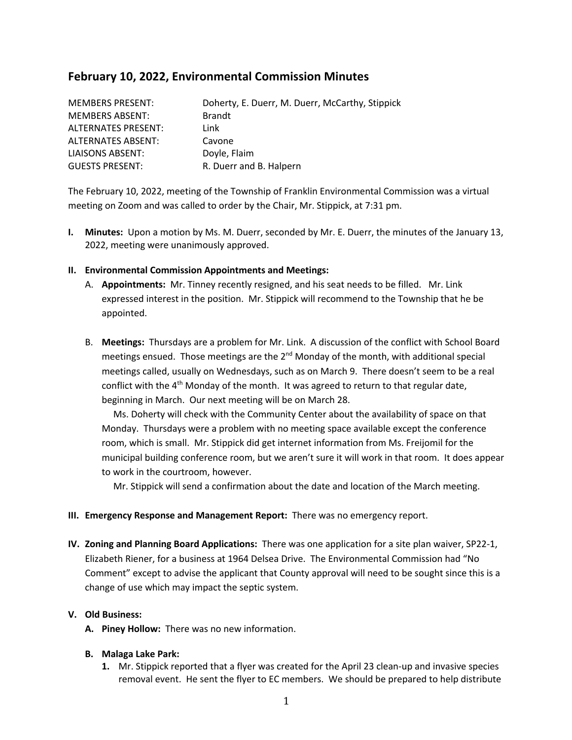# **February 10, 2022, Environmental Commission Minutes**

| <b>MEMBERS PRESENT:</b> | Doherty, E. Duerr, M. Duerr, McCarthy, Stippick |
|-------------------------|-------------------------------------------------|
| <b>MEMBERS ABSENT:</b>  | <b>Brandt</b>                                   |
| ALTERNATES PRESENT:     | Link                                            |
| ALTERNATES ABSENT:      | Cavone                                          |
| LIAISONS ABSENT:        | Doyle, Flaim                                    |
| <b>GUESTS PRESENT:</b>  | R. Duerr and B. Halpern                         |

The February 10, 2022, meeting of the Township of Franklin Environmental Commission was a virtual meeting on Zoom and was called to order by the Chair, Mr. Stippick, at 7:31 pm.

**I. Minutes:** Upon a motion by Ms. M. Duerr, seconded by Mr. E. Duerr, the minutes of the January 13, 2022, meeting were unanimously approved.

## **II. Environmental Commission Appointments and Meetings:**

- A. **Appointments:** Mr. Tinney recently resigned, and his seat needs to be filled. Mr. Link expressed interest in the position. Mr. Stippick will recommend to the Township that he be appointed.
- B. **Meetings:** Thursdays are a problem for Mr. Link. A discussion of the conflict with School Board meetings ensued. Those meetings are the 2<sup>nd</sup> Monday of the month, with additional special meetings called, usually on Wednesdays, such as on March 9. There doesn't seem to be a real conflict with the 4<sup>th</sup> Monday of the month. It was agreed to return to that regular date, beginning in March. Our next meeting will be on March 28.

 Ms. Doherty will check with the Community Center about the availability of space on that Monday. Thursdays were a problem with no meeting space available except the conference room, which is small. Mr. Stippick did get internet information from Ms. Freijomil for the municipal building conference room, but we aren't sure it will work in that room. It does appear to work in the courtroom, however.

Mr. Stippick will send a confirmation about the date and location of the March meeting.

## **III. Emergency Response and Management Report:** There was no emergency report.

**IV. Zoning and Planning Board Applications:** There was one application for a site plan waiver, SP22-1, Elizabeth Riener, for a business at 1964 Delsea Drive. The Environmental Commission had "No Comment" except to advise the applicant that County approval will need to be sought since this is a change of use which may impact the septic system.

## **V. Old Business:**

**A. Piney Hollow:** There was no new information.

## **B. Malaga Lake Park:**

**1.** Mr. Stippick reported that a flyer was created for the April 23 clean-up and invasive species removal event. He sent the flyer to EC members. We should be prepared to help distribute